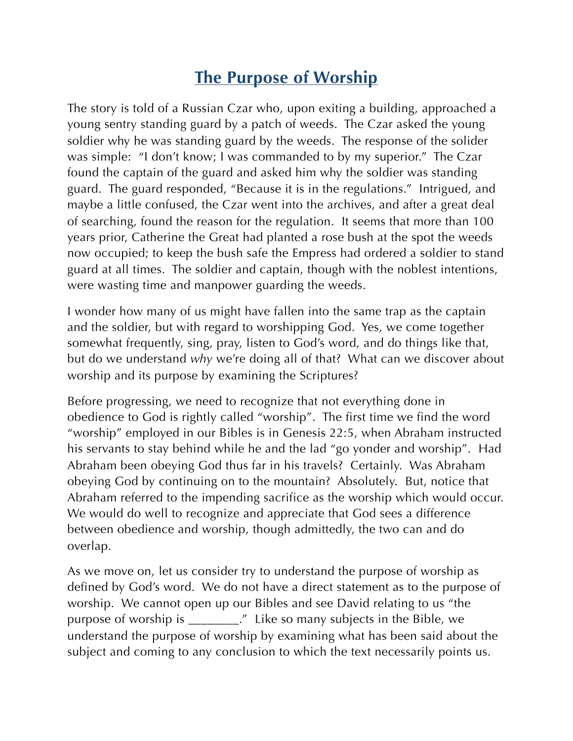## **The Purpose of Worship**

The story is told of a Russian Czar who, upon exiting a building, approached a young sentry standing guard by a patch of weeds. The Czar asked the young soldier why he was standing guard by the weeds. The response of the solider was simple: "I don't know; I was commanded to by my superior." The Czar found the captain of the guard and asked him why the soldier was standing guard. The guard responded, "Because it is in the regulations." Intrigued, and maybe a little confused, the Czar went into the archives, and after a great deal of searching, found the reason for the regulation. It seems that more than 100 years prior, Catherine the Great had planted a rose bush at the spot the weeds now occupied; to keep the bush safe the Empress had ordered a soldier to stand guard at all times. The soldier and captain, though with the noblest intentions, were wasting time and manpower guarding the weeds.

I wonder how many of us might have fallen into the same trap as the captain and the soldier, but with regard to worshipping God. Yes, we come together somewhat frequently, sing, pray, listen to God's word, and do things like that, but do we understand *why* we're doing all of that? What can we discover about worship and its purpose by examining the Scriptures?

Before progressing, we need to recognize that not everything done in obedience to God is rightly called "worship". The first time we find the word "worship" employed in our Bibles is in Genesis 22:5, when Abraham instructed his servants to stay behind while he and the lad "go yonder and worship". Had Abraham been obeying God thus far in his travels? Certainly. Was Abraham obeying God by continuing on to the mountain? Absolutely. But, notice that Abraham referred to the impending sacrifice as the worship which would occur. We would do well to recognize and appreciate that God sees a difference between obedience and worship, though admittedly, the two can and do overlap.

As we move on, let us consider try to understand the purpose of worship as defined by God's word. We do not have a direct statement as to the purpose of worship. We cannot open up our Bibles and see David relating to us "the purpose of worship is \_\_\_\_\_\_\_\_." Like so many subjects in the Bible, we understand the purpose of worship by examining what has been said about the subject and coming to any conclusion to which the text necessarily points us.